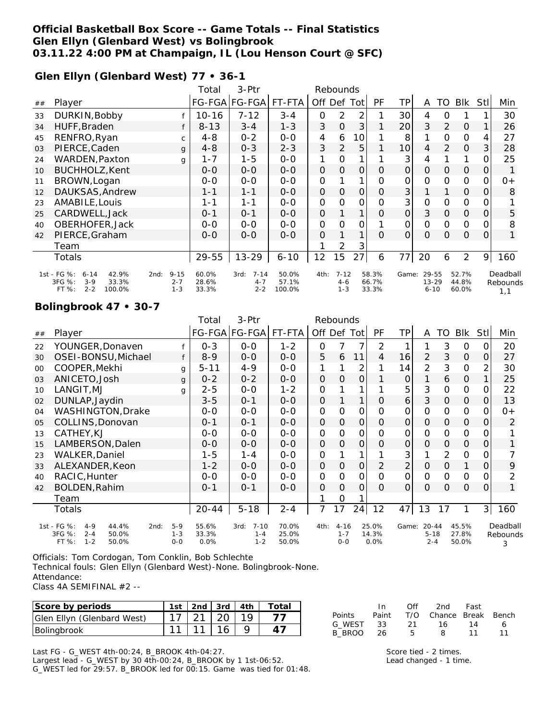### **Official Basketball Box Score -- Game Totals -- Final Statistics Glen Ellyn (Glenbard West) vs Bolingbrook 03.11.22 4:00 PM at Champaign, IL (Lou Henson Court @ SFC)**

#### **Glen Ellyn (Glenbard West) 77 • 36-1**

|    |                                                        |                    | 3-Ptr<br>Total<br>Rebounds |                    |                 |               |                    |               |                |                 |                       |                |                |                |              |
|----|--------------------------------------------------------|--------------------|----------------------------|--------------------|-----------------|---------------|--------------------|---------------|----------------|-----------------|-----------------------|----------------|----------------|----------------|--------------|
| ## | Player                                                 |                    |                            | FG-FGA FG-FGA      | FT-FTA          |               | Off Def Tot        |               | <b>PF</b>      | ΤP              | A                     | TO             | <b>BIK</b>     | Stll           | Min          |
| 33 | DURKIN, Bobby                                          |                    | 10-16                      | 7-12               | $3 - 4$         | 0             | 2                  | 2             |                | 30 <sup>1</sup> | 4                     | Ο              |                |                | 30           |
| 34 | HUFF, Braden                                           |                    | $8 - 13$                   | $3 - 4$            | $1 - 3$         | 3             | $\overline{O}$     | 3             |                | 20              | 3                     | $\overline{2}$ | $\Omega$       |                | 26           |
| 45 | RENFRO, Ryan                                           | $\mathsf{C}$       | $4 - 8$                    | $0 - 2$            | $0 - 0$         | 4             | 6                  | 10            |                | 8               |                       | $\Omega$       | 0              | 4              | 27           |
| 03 | PIERCE, Caden                                          | $\mathbf{q}$       | $4 - 8$                    | $0 - 3$            | $2 - 3$         | 3             | $\overline{2}$     | 5             |                | 10              | 4                     | 2              | $\Omega$       | $\mathcal{S}$  | 28           |
| 24 | WARDEN, Paxton                                         | g                  | $1 - 7$                    | $1 - 5$            | $0 - 0$         | 1             | 0                  |               |                | 3               | 4                     |                | $\mathbf{1}$   | 0              | 25           |
| 10 | BUCHHOLZ, Kent                                         |                    | $O-O$                      | $0-0$              | $0-0$           | $\mathcal{O}$ | $\mathcal{O}$      | $\mathcal{O}$ | $\mathcal{O}$  | $\Omega$        | $\mathcal{O}$         | $\Omega$       | $\Omega$       | $\overline{O}$ | 1            |
| 11 | BROWN, Logan                                           |                    | $0 - 0$                    | $0 - 0$            | $0-0$           | 0             |                    | $\mathbf{1}$  | 0              | 0               | $\mathcal{O}$         | $\mathbf 0$    | 0              | 0              | $0+$         |
| 12 | DAUKSAS, Andrew                                        |                    | $1 - 1$                    | $1 - 1$            | $0-0$           | O             | $\mathcal{O}$      | $\mathcal{O}$ | $\mathcal{O}$  | 3               |                       | 1              | $\mathcal{O}$  | 0              | 8            |
| 23 | AMABILE, Louis                                         |                    | $1 - 1$                    | $1 - 1$            | $0 - 0$         | $\mathsf{O}$  | 0                  | $\Omega$      | O              | 3               | 0                     | $\Omega$       | 0              | 0              |              |
| 25 | CARDWELL, Jack                                         |                    | $0 - 1$                    | $0 - 1$            | $0 - 0$         | $\mathbf{O}$  |                    |               | $\Omega$       | $\Omega$        | 3                     | $\Omega$       | $\Omega$       | 0              | 5            |
| 40 | OBERHOFER, Jack                                        |                    | $0 - 0$                    | $O-O$              | $0 - 0$         | 0             | 0                  | O             |                | 0               | $\mathbf{O}$          | $\Omega$       | 0              | 0              | 8            |
| 42 | PIERCE, Graham                                         |                    | $0 - 0$                    | $0 - 0$            | $0 - 0$         | 0             |                    | 1             | $\Omega$       | $\mathcal{O}$   | $\Omega$              | $\Omega$       | 0              | 0              | $\mathbf{1}$ |
|    | Team                                                   |                    |                            |                    |                 |               | 2                  | 3             |                |                 |                       |                |                |                |              |
|    | Totals                                                 |                    | 29-55                      | $13 - 29$          | $6 - 10$        | 12            | 15                 | 27            | 6              | 77              | 20                    | 6              | 2              | 9              | 160          |
|    | 1st - FG %:<br>42.9%<br>$6 - 14$                       | $9 - 15$<br>2nd:   | 60.0%                      | $7 - 14$<br>3rd:   | 50.0%           | 4th:          | $7 - 12$           |               | 58.3%          | Game:           | 29-55                 |                | 52.7%          |                | Deadball     |
|    | 3FG %:<br>$3-9$<br>33.3%<br>100.0%<br>FT %:<br>$2 - 2$ | $2 - 7$<br>$1 - 3$ | 28.6%<br>33.3%             | $4 - 7$<br>$2 - 2$ | 57.1%<br>100.0% |               | $4 - 6$<br>$1 - 3$ |               | 66.7%<br>33.3% |                 | $13 - 29$<br>$6 - 10$ |                | 44.8%<br>60.0% |                | Rebounds     |
|    |                                                        |                    |                            |                    |                 |               |                    |               |                |                 |                       |                |                |                | 1.1          |

#### **Bolingbrook 47 • 30-7**

|    |                                                         |                    | Total         | 3-Ptr                | Rebounds       |               |                    |          |                |                |                     |               |                |                |          |
|----|---------------------------------------------------------|--------------------|---------------|----------------------|----------------|---------------|--------------------|----------|----------------|----------------|---------------------|---------------|----------------|----------------|----------|
| ## | Player                                                  |                    |               | FG-FGA FG-FGA FT-FTA |                | Off Def Tot   |                    |          | PF             | TP             | A                   | TO            | Blk            | <b>Stll</b>    | Min      |
| 22 | YOUNGER, Donaven                                        |                    | $0 - 3$       | $O-O$                | $1 - 2$        | 0             |                    |          | 2              |                |                     | 3             | 0              | 0              | 20       |
| 30 | OSEI-BONSU, Michael                                     |                    | $8 - 9$       | $O-O$                | $0-0$          | 5             | 6                  | 11       | 4              | 16             | $\overline{2}$      | 3             | 0              | $\Omega$       | 27       |
| 00 | COOPER, Mekhi                                           | g                  | $5 - 11$      | $4 - 9$              | $0-0$          | 1             |                    | 2        |                | 14             | $\overline{2}$      | 3             | 0              | 2              | 30       |
| 03 | ANICETO, Josh                                           | g                  | $0 - 2$       | $0 - 2$              | $0 - 0$        | $\Omega$      | 0                  | $\Omega$ |                | $\overline{O}$ | 1                   | 6             | $\mathbf{O}$   | 1              | 25       |
| 10 | LANGIT, MJ                                              | g                  | $2 - 5$       | $0-0$                | $1 - 2$        | $\mathcal{O}$ |                    |          |                | 5              | 3                   | $\Omega$      | 0              | 0              | 22       |
| 02 | DUNLAP, Jaydin                                          |                    | $3 - 5$       | $0 - 1$              | $0-0$          | 0             |                    | 1        | 0              | 6              | 3                   | $\mathcal{O}$ | 0              | 0              | 13       |
| 04 | WASHINGTON, Drake                                       |                    | $0-0$         | $0 - 0$              | $0-0$          | 0             | 0                  | 0        | 0              | 0              | 0                   | $\Omega$      | 0              | $\Omega$       | $0+$     |
| 05 | COLLINS, Donovan                                        |                    | $0 - 1$       | $0 - 1$              | $0 - 0$        | $\Omega$      | 0                  | 0        | $\Omega$       | 0              | $\Omega$            | $\Omega$      | $\Omega$       | 0              | 2        |
| 13 | CATHEY, KJ                                              |                    | $0 - 0$       | $0-0$                | $0-0$          | $\mathcal{O}$ | O                  | 0        | $\Omega$       | 0              | O                   | O             | 0              | $\Omega$       |          |
| 15 | LAMBERSON, Dalen                                        |                    | $0 - 0$       | $0-0$                | $0-0$          | O             | 0                  | 0        | $\overline{O}$ | 0              | $\mathcal{O}$       | $\mathcal{O}$ | $\mathcal{O}$  | $\overline{O}$ |          |
| 23 | <b>WALKER, Daniel</b>                                   |                    | $1 - 5$       | $1 - 4$              | $0-0$          | 0             |                    |          |                | 3              |                     | 2             | 0              | 0              |          |
| 33 | ALEXANDER, Keon                                         |                    | $1 - 2$       | $0 - 0$              | $0 - 0$        | O             | 0                  | 0        | $\overline{2}$ | $\overline{2}$ | $\mathcal{O}$       | $\Omega$      | 1              | $\overline{O}$ | 9        |
| 40 | RACIC, Hunter                                           |                    | $O - O$       | $0 - 0$              | $O-O$          | $\mathcal{O}$ | 0                  | 0        | $\Omega$       | 0              | O                   | O             | 0              | 0              | 2        |
| 42 | BOLDEN, Rahim                                           |                    | $0 - 1$       | $0 - 1$              | $O-O$          | O             | $\mathcal{O}$      | O        | $\Omega$       | $\Omega$       | $\Omega$            | $\Omega$      | $\mathcal{O}$  | $\Omega$       | 1        |
|    | Team                                                    |                    |               |                      |                |               | 0                  |          |                |                |                     |               |                |                |          |
|    | Totals                                                  |                    | 20-44         | $5 - 18$             | $2 - 4$        | 7             | 17                 | 24       | 12             | 47             | 13                  | 17            | 1              | 3              | 160      |
|    | 1st - FG %:<br>$4 - 9$<br>44.4%<br>2nd:                 | $5-9$              | 55.6%         | $7 - 10$<br>3rd:     | 70.0%          | 4th:          | $4 - 16$           |          | 25.0%          | Game:          | $20 - 44$           |               | 45.5%          |                | Deadball |
|    | 3FG %:<br>$2 - 4$<br>50.0%<br>FT %:<br>50.0%<br>$1 - 2$ | $1 - 3$<br>$0 - 0$ | 33.3%<br>0.0% | $1 - 4$<br>$1 - 2$   | 25.0%<br>50.0% |               | $1 - 7$<br>$O - O$ |          | 14.3%<br>0.0%  |                | $5 - 18$<br>$2 - 4$ |               | 27.8%<br>50.0% |                | Rebounds |
|    |                                                         |                    |               |                      |                |               |                    |          |                |                |                     |               |                |                | 3        |

Officials: Tom Cordogan, Tom Conklin, Bob Schlechte Technical fouls: Glen Ellyn (Glenbard West)-None. Bolingbrook-None. Attendance:

Class 4A SEMIFINAL #2 --

| Score by periods           | 1st   2nd   3rd   4th |  | ⊤ota⊫ |
|----------------------------|-----------------------|--|-------|
| Glen Ellyn (Glenbard West) |                       |  |       |
| Bolingbrook                |                       |  |       |

In Off 2nd Fast Points Paint T/O Chance Break Bench G\_WEST 33 21 16 14 6 B\_BROO 26 5 8 11 11

Last FG - G\_WEST 4th-00:24, B\_BROOK 4th-04:27.

Largest lead - G\_WEST by 30 4th-00:24, B\_BROOK by 1 1st-06:52. G\_WEST led for 29:57. B\_BROOK led for 00:15. Game was tied for 01:48.

Score tied - 2 times. Lead changed - 1 time.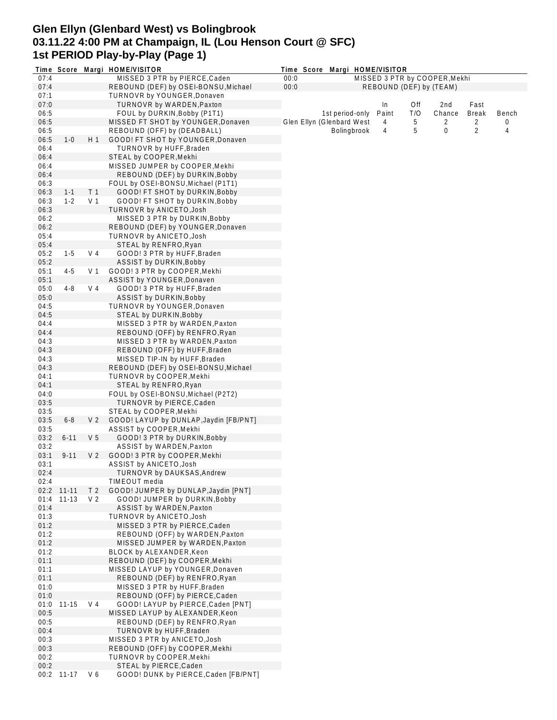## **Glen Ellyn (Glenbard West) vs Bolingbrook 03.11.22 4:00 PM at Champaign, IL (Lou Henson Court @ SFC) 1st PERIOD Play-by-Play (Page 1)**

|      | Time Score |                | Margi HOME/VISITOR                     | Time Score Margi HOME/VISITOR |                    |       |     |                               |                |       |
|------|------------|----------------|----------------------------------------|-------------------------------|--------------------|-------|-----|-------------------------------|----------------|-------|
| 07:4 |            |                | MISSED 3 PTR by PIERCE, Caden          | 00:0                          |                    |       |     | MISSED 3 PTR by COOPER, Mekhi |                |       |
| 07:4 |            |                | REBOUND (DEF) by OSEI-BONSU, Michael   | 00:0                          |                    |       |     | REBOUND (DEF) by (TEAM)       |                |       |
| 07:1 |            |                | TURNOVR by YOUNGER, Donaven            |                               |                    |       |     |                               |                |       |
| 07:0 |            |                | TURNOVR by WARDEN, Paxton              |                               |                    | In    | Off | 2nd                           | Fast           |       |
| 06:5 |            |                | FOUL by DURKIN, Bobby (P1T1)           |                               | 1st period-only    | Paint | T/O | Chance                        | <b>Break</b>   | Bench |
| 06:5 |            |                | MISSED FT SHOT by YOUNGER, Donaven     | Glen Ellyn (Glenbard West     |                    | 4     | 5   | 2                             | 2              | 0     |
| 06:5 |            |                | REBOUND (OFF) by (DEADBALL)            |                               | <b>Bolingbrook</b> | 4     | 5   | 0                             | $\overline{2}$ | 4     |
| 06:5 | $1 - 0$    | H 1            | GOOD! FT SHOT by YOUNGER, Donaven      |                               |                    |       |     |                               |                |       |
| 06:4 |            |                | TURNOVR by HUFF, Braden                |                               |                    |       |     |                               |                |       |
| 06:4 |            |                | STEAL by COOPER, Mekhi                 |                               |                    |       |     |                               |                |       |
| 06:4 |            |                | MISSED JUMPER by COOPER, Mekhi         |                               |                    |       |     |                               |                |       |
| 06:4 |            |                | REBOUND (DEF) by DURKIN, Bobby         |                               |                    |       |     |                               |                |       |
| 06:3 |            |                | FOUL by OSEI-BONSU, Michael (P1T1)     |                               |                    |       |     |                               |                |       |
| 06:3 | $1 - 1$    | T <sub>1</sub> | GOOD! FT SHOT by DURKIN, Bobby         |                               |                    |       |     |                               |                |       |
| 06:3 | $1 - 2$    | V 1            | GOOD! FT SHOT by DURKIN, Bobby         |                               |                    |       |     |                               |                |       |
| 06:3 |            |                | TURNOVR by ANICETO, Josh               |                               |                    |       |     |                               |                |       |
| 06:2 |            |                | MISSED 3 PTR by DURKIN, Bobby          |                               |                    |       |     |                               |                |       |
| 06:2 |            |                | REBOUND (DEF) by YOUNGER, Donaven      |                               |                    |       |     |                               |                |       |
| 05:4 |            |                | TURNOVR by ANICETO, Josh               |                               |                    |       |     |                               |                |       |
| 05:4 |            |                | STEAL by RENFRO, Ryan                  |                               |                    |       |     |                               |                |       |
| 05:2 | $1-5$      | V 4            | GOOD! 3 PTR by HUFF, Braden            |                               |                    |       |     |                               |                |       |
| 05:2 |            |                | ASSIST by DURKIN, Bobby                |                               |                    |       |     |                               |                |       |
| 05:1 | $4 - 5$    | V 1            | GOOD! 3 PTR by COOPER, Mekhi           |                               |                    |       |     |                               |                |       |
| 05:1 |            |                | ASSIST by YOUNGER, Donaven             |                               |                    |       |     |                               |                |       |
| 05:0 | $4 - 8$    | $V_4$          | GOOD! 3 PTR by HUFF, Braden            |                               |                    |       |     |                               |                |       |
| 05:0 |            |                | <b>ASSIST by DURKIN, Bobby</b>         |                               |                    |       |     |                               |                |       |
| 04:5 |            |                | TURNOVR by YOUNGER, Donaven            |                               |                    |       |     |                               |                |       |
| 04:5 |            |                | STEAL by DURKIN, Bobby                 |                               |                    |       |     |                               |                |       |
| 04:4 |            |                | MISSED 3 PTR by WARDEN, Paxton         |                               |                    |       |     |                               |                |       |
| 04:4 |            |                | REBOUND (OFF) by RENFRO, Ryan          |                               |                    |       |     |                               |                |       |
| 04:3 |            |                | MISSED 3 PTR by WARDEN, Paxton         |                               |                    |       |     |                               |                |       |
| 04:3 |            |                | REBOUND (OFF) by HUFF, Braden          |                               |                    |       |     |                               |                |       |
| 04:3 |            |                | MISSED TIP-IN by HUFF, Braden          |                               |                    |       |     |                               |                |       |
| 04:3 |            |                | REBOUND (DEF) by OSEI-BONSU, Michael   |                               |                    |       |     |                               |                |       |
| 04:1 |            |                | TURNOVR by COOPER, Mekhi               |                               |                    |       |     |                               |                |       |
| 04:1 |            |                | STEAL by RENFRO, Ryan                  |                               |                    |       |     |                               |                |       |
| 04:0 |            |                | FOUL by OSEI-BONSU, Michael (P2T2)     |                               |                    |       |     |                               |                |       |
| 03:5 |            |                | TURNOVR by PIERCE, Caden               |                               |                    |       |     |                               |                |       |
| 03:5 |            |                | STEAL by COOPER, Mekhi                 |                               |                    |       |     |                               |                |       |
| 03:5 | $6 - 8$    | V <sub>2</sub> | GOOD! LAYUP by DUNLAP, Jaydin [FB/PNT] |                               |                    |       |     |                               |                |       |
| 03:5 |            |                | ASSIST by COOPER, Mekhi                |                               |                    |       |     |                               |                |       |
| 03:2 | $6 - 11$   | V <sub>5</sub> | GOOD! 3 PTR by DURKIN, Bobby           |                               |                    |       |     |                               |                |       |
| 03:2 |            |                | ASSIST by WARDEN, Paxton               |                               |                    |       |     |                               |                |       |
| 03:1 | $9 - 11$   | V <sub>2</sub> | GOOD! 3 PTR by COOPER, Mekhi           |                               |                    |       |     |                               |                |       |
| 03:1 |            |                | ASSIST by ANICETO, Josh                |                               |                    |       |     |                               |                |       |
| 02:4 |            |                | TURNOVR by DAUKSAS, Andrew             |                               |                    |       |     |                               |                |       |
| 02:4 |            |                | TIMEOUT media                          |                               |                    |       |     |                               |                |       |
|      | 02:2 11-11 | T <sub>2</sub> | GOOD! JUMPER by DUNLAP, Jaydin [PNT]   |                               |                    |       |     |                               |                |       |
| 01:4 | $11 - 13$  | V <sub>2</sub> | GOOD! JUMPER by DURKIN, Bobby          |                               |                    |       |     |                               |                |       |
| 01:4 |            |                | ASSIST by WARDEN, Paxton               |                               |                    |       |     |                               |                |       |
| 01:3 |            |                | TURNOVR by ANICETO, Josh               |                               |                    |       |     |                               |                |       |
| 01:2 |            |                | MISSED 3 PTR by PIERCE, Caden          |                               |                    |       |     |                               |                |       |
| 01:2 |            |                | REBOUND (OFF) by WARDEN, Paxton        |                               |                    |       |     |                               |                |       |
| 01:2 |            |                | MISSED JUMPER by WARDEN, Paxton        |                               |                    |       |     |                               |                |       |
| 01:2 |            |                | BLOCK by ALEXANDER, Keon               |                               |                    |       |     |                               |                |       |
| 01:1 |            |                | REBOUND (DEF) by COOPER, Mekhi         |                               |                    |       |     |                               |                |       |
| 01:1 |            |                | MISSED LAYUP by YOUNGER, Donaven       |                               |                    |       |     |                               |                |       |
| 01:1 |            |                | REBOUND (DEF) by RENFRO, Ryan          |                               |                    |       |     |                               |                |       |
| 01:0 |            |                | MISSED 3 PTR by HUFF, Braden           |                               |                    |       |     |                               |                |       |
| 01:0 |            |                | REBOUND (OFF) by PIERCE, Caden         |                               |                    |       |     |                               |                |       |
| 01:0 | $11 - 15$  | V 4            | GOOD! LAYUP by PIERCE, Caden [PNT]     |                               |                    |       |     |                               |                |       |
| 00:5 |            |                | MISSED LAYUP by ALEXANDER, Keon        |                               |                    |       |     |                               |                |       |
| 00:5 |            |                | REBOUND (DEF) by RENFRO, Ryan          |                               |                    |       |     |                               |                |       |
| 00:4 |            |                | TURNOVR by HUFF, Braden                |                               |                    |       |     |                               |                |       |
| 00:3 |            |                | MISSED 3 PTR by ANICETO, Josh          |                               |                    |       |     |                               |                |       |
| 00:3 |            |                | REBOUND (OFF) by COOPER, Mekhi         |                               |                    |       |     |                               |                |       |
| 00:2 |            |                | TURNOVR by COOPER, Mekhi               |                               |                    |       |     |                               |                |       |
| 00:2 |            |                | STEAL by PIERCE, Caden                 |                               |                    |       |     |                               |                |       |
|      | 00:2 11-17 | V6             | GOOD! DUNK by PIERCE, Caden [FB/PNT]   |                               |                    |       |     |                               |                |       |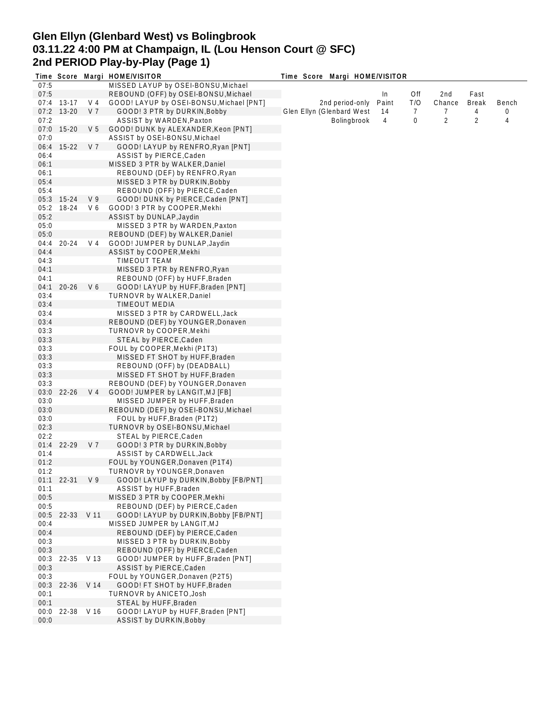# **Glen Ellyn (Glenbard West) vs Bolingbrook 03.11.22 4:00 PM at Champaign, IL (Lou Henson Court @ SFC) 2nd PERIOD Play-by-Play (Page 1)**

|      |              |                | Time Score Margi HOME/VISITOR            | Time Score Margi HOME/VISITOR |                 |       |     |                |              |       |
|------|--------------|----------------|------------------------------------------|-------------------------------|-----------------|-------|-----|----------------|--------------|-------|
| 07:5 |              |                | MISSED LAYUP by OSEI-BONSU, Michael      |                               |                 |       |     |                |              |       |
| 07:5 |              |                | REBOUND (OFF) by OSEI-BONSU, Michael     |                               |                 | In.   | Off | 2nd            | Fast         |       |
|      | 07:4 13-17   | V 4            | GOOD! LAYUP by OSEI-BONSU, Michael [PNT] |                               | 2nd period-only | Paint | T/O | Chance         | <b>Break</b> | Bench |
| 07:2 | $13 - 20$    | V 7            | GOOD! 3 PTR by DURKIN, Bobby             | Glen Ellyn (Glenbard West     |                 | 14    | 7   | 7              | 4            | 0     |
| 07:2 |              |                | ASSIST by WARDEN, Paxton                 |                               | Bolingbrook     | 4     | 0   | $\overline{2}$ | 2            | 4     |
| 07:0 | 15-20        | V <sub>5</sub> | GOOD! DUNK by ALEXANDER, Keon [PNT]      |                               |                 |       |     |                |              |       |
| 07:0 |              |                | ASSIST by OSEI-BONSU, Michael            |                               |                 |       |     |                |              |       |
| 06:4 | $15-22$      | V <sub>7</sub> | GOOD! LAYUP by RENFRO, Ryan [PNT]        |                               |                 |       |     |                |              |       |
| 06:4 |              |                | ASSIST by PIERCE, Caden                  |                               |                 |       |     |                |              |       |
| 06:1 |              |                | MISSED 3 PTR by WALKER, Daniel           |                               |                 |       |     |                |              |       |
| 06:1 |              |                | REBOUND (DEF) by RENFRO, Ryan            |                               |                 |       |     |                |              |       |
|      |              |                | MISSED 3 PTR by DURKIN, Bobby            |                               |                 |       |     |                |              |       |
| 05:4 |              |                |                                          |                               |                 |       |     |                |              |       |
| 05:4 |              |                | REBOUND (OFF) by PIERCE, Caden           |                               |                 |       |     |                |              |       |
|      | 05:3 15-24   | V9             | GOOD! DUNK by PIERCE, Caden [PNT]        |                               |                 |       |     |                |              |       |
| 05:2 | 18-24        | V6             | GOOD! 3 PTR by COOPER, Mekhi             |                               |                 |       |     |                |              |       |
| 05:2 |              |                | ASSIST by DUNLAP, Jaydin                 |                               |                 |       |     |                |              |       |
| 05:0 |              |                | MISSED 3 PTR by WARDEN, Paxton           |                               |                 |       |     |                |              |       |
| 05:0 |              |                | REBOUND (DEF) by WALKER, Daniel          |                               |                 |       |     |                |              |       |
| 04:4 | $20 - 24$    | V 4            | GOOD! JUMPER by DUNLAP, Jaydin           |                               |                 |       |     |                |              |       |
| 04:4 |              |                | ASSIST by COOPER, Mekhi                  |                               |                 |       |     |                |              |       |
| 04:3 |              |                | <b>TIMEOUT TEAM</b>                      |                               |                 |       |     |                |              |       |
| 04:1 |              |                | MISSED 3 PTR by RENFRO, Ryan             |                               |                 |       |     |                |              |       |
| 04:1 |              |                | REBOUND (OFF) by HUFF, Braden            |                               |                 |       |     |                |              |       |
| 04:1 | $20 - 26$    | V6             | GOOD! LAYUP by HUFF, Braden [PNT]        |                               |                 |       |     |                |              |       |
| 03:4 |              |                | TURNOVR by WALKER, Daniel                |                               |                 |       |     |                |              |       |
| 03:4 |              |                | TIMEOUT MEDIA                            |                               |                 |       |     |                |              |       |
|      |              |                |                                          |                               |                 |       |     |                |              |       |
| 03:4 |              |                | MISSED 3 PTR by CARDWELL, Jack           |                               |                 |       |     |                |              |       |
| 03:4 |              |                | REBOUND (DEF) by YOUNGER, Donaven        |                               |                 |       |     |                |              |       |
| 03:3 |              |                | TURNOVR by COOPER, Mekhi                 |                               |                 |       |     |                |              |       |
| 03:3 |              |                | STEAL by PIERCE, Caden                   |                               |                 |       |     |                |              |       |
| 03:3 |              |                | FOUL by COOPER, Mekhi (P1T3)             |                               |                 |       |     |                |              |       |
| 03:3 |              |                | MISSED FT SHOT by HUFF, Braden           |                               |                 |       |     |                |              |       |
| 03:3 |              |                | REBOUND (OFF) by (DEADBALL)              |                               |                 |       |     |                |              |       |
| 03:3 |              |                | MISSED FT SHOT by HUFF, Braden           |                               |                 |       |     |                |              |       |
| 03:3 |              |                | REBOUND (DEF) by YOUNGER, Donaven        |                               |                 |       |     |                |              |       |
| 03:0 | $22 - 26$    | V <sub>4</sub> | GOOD! JUMPER by LANGIT, MJ [FB]          |                               |                 |       |     |                |              |       |
| 03:0 |              |                | MISSED JUMPER by HUFF, Braden            |                               |                 |       |     |                |              |       |
| 03:0 |              |                | REBOUND (DEF) by OSEI-BONSU, Michael     |                               |                 |       |     |                |              |       |
| 03:0 |              |                | FOUL by HUFF, Braden (P1T2)              |                               |                 |       |     |                |              |       |
| 02:3 |              |                | TURNOVR by OSEI-BONSU, Michael           |                               |                 |       |     |                |              |       |
| 02:2 |              |                | STEAL by PIERCE, Caden                   |                               |                 |       |     |                |              |       |
| 01:4 | $22 - 29$    | V 7            | GOOD! 3 PTR by DURKIN, Bobby             |                               |                 |       |     |                |              |       |
| 01:4 |              |                | ASSIST by CARDWELL, Jack                 |                               |                 |       |     |                |              |       |
| 01:2 |              |                | FOUL by YOUNGER, Donaven (P1T4)          |                               |                 |       |     |                |              |       |
| 01:2 |              |                |                                          |                               |                 |       |     |                |              |       |
|      |              |                | TURNOVR by YOUNGER, Donaven              |                               |                 |       |     |                |              |       |
|      | $01:1$ 22-31 | V <sub>9</sub> | GOOD! LAYUP by DURKIN, Bobby [FB/PNT]    |                               |                 |       |     |                |              |       |
| 01:1 |              |                | ASSIST by HUFF, Braden                   |                               |                 |       |     |                |              |       |
| 00:5 |              |                | MISSED 3 PTR by COOPER, Mekhi            |                               |                 |       |     |                |              |       |
| 00:5 |              |                | REBOUND (DEF) by PIERCE, Caden           |                               |                 |       |     |                |              |       |
| 00:5 | 22-33 V 11   |                | GOOD! LAYUP by DURKIN, Bobby [FB/PNT]    |                               |                 |       |     |                |              |       |
| 00:4 |              |                | MISSED JUMPER by LANGIT, MJ              |                               |                 |       |     |                |              |       |
| 00:4 |              |                | REBOUND (DEF) by PIERCE, Caden           |                               |                 |       |     |                |              |       |
| 00:3 |              |                | MISSED 3 PTR by DURKIN, Bobby            |                               |                 |       |     |                |              |       |
| 00:3 |              |                | REBOUND (OFF) by PIERCE, Caden           |                               |                 |       |     |                |              |       |
| 00:3 | 22-35 V 13   |                | GOOD! JUMPER by HUFF, Braden [PNT]       |                               |                 |       |     |                |              |       |
| 00:3 |              |                | ASSIST by PIERCE, Caden                  |                               |                 |       |     |                |              |       |
| 00:3 |              |                | FOUL by YOUNGER, Donaven (P2T5)          |                               |                 |       |     |                |              |       |
| 00:3 | 22-36 V 14   |                | GOOD! FT SHOT by HUFF, Braden            |                               |                 |       |     |                |              |       |
| 00:1 |              |                | TURNOVR by ANICETO, Josh                 |                               |                 |       |     |                |              |       |
| 00:1 |              |                | STEAL by HUFF, Braden                    |                               |                 |       |     |                |              |       |
|      | 22-38 V 16   |                | GOOD! LAYUP by HUFF, Braden [PNT]        |                               |                 |       |     |                |              |       |
| 00:0 |              |                |                                          |                               |                 |       |     |                |              |       |
| 00:0 |              |                | ASSIST by DURKIN, Bobby                  |                               |                 |       |     |                |              |       |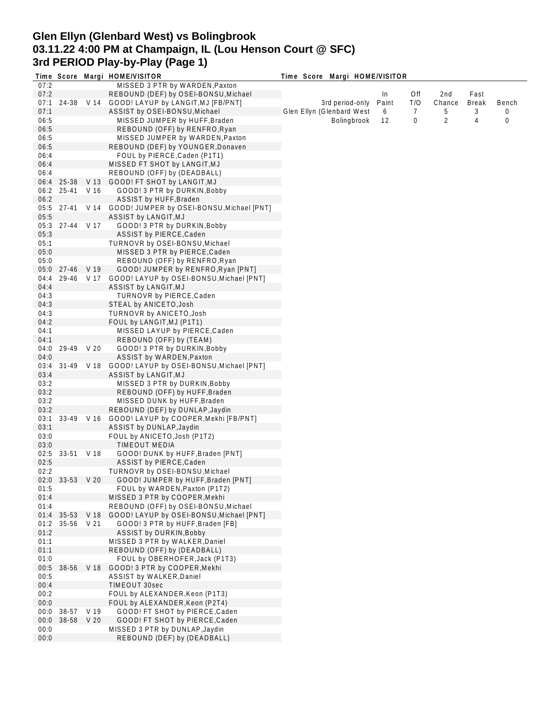# **Glen Ellyn (Glenbard West) vs Bolingbrook 03.11.22 4:00 PM at Champaign, IL (Lou Henson Court @ SFC) 3rd PERIOD Play-by-Play (Page 1)**

|      |                 |            | Time Score Margi HOME/VISITOR                       | Time Score Margi HOME/VISITOR |       |     |        |              |       |
|------|-----------------|------------|-----------------------------------------------------|-------------------------------|-------|-----|--------|--------------|-------|
| 07:2 |                 |            | MISSED 3 PTR by WARDEN, Paxton                      |                               |       |     |        |              |       |
| 07:2 |                 |            | REBOUND (DEF) by OSEI-BONSU, Michael                |                               | In    | Off | 2nd    | Fast         |       |
| 07:1 |                 | 24-38 V 14 | GOOD! LAYUP by LANGIT, MJ [FB/PNT]                  | 3rd period-only               | Paint | T/O | Chance | <b>Break</b> | Bench |
| 07:1 |                 |            | ASSIST by OSEI-BONSU, Michael                       | Glen Ellyn (Glenbard West     | 6     | 7   | 5      | 3            | 0     |
| 06:5 |                 |            | MISSED JUMPER by HUFF, Braden                       | Bolingbrook                   | 12    | 0   | 2      | 4            | 0     |
| 06:5 |                 |            | REBOUND (OFF) by RENFRO, Ryan                       |                               |       |     |        |              |       |
| 06:5 |                 |            | MISSED JUMPER by WARDEN, Paxton                     |                               |       |     |        |              |       |
| 06:5 |                 |            | REBOUND (DEF) by YOUNGER, Donaven                   |                               |       |     |        |              |       |
| 06:4 |                 |            | FOUL by PIERCE, Caden (P1T1)                        |                               |       |     |        |              |       |
| 06:4 |                 |            | MISSED FT SHOT by LANGIT, MJ                        |                               |       |     |        |              |       |
| 06:4 |                 |            | REBOUND (OFF) by (DEADBALL)                         |                               |       |     |        |              |       |
|      | 06:4 25-38      |            | V 13 GOOD! FT SHOT by LANGIT, MJ                    |                               |       |     |        |              |       |
| 06:2 | 25-41           | V 16       | GOOD! 3 PTR by DURKIN, Bobby                        |                               |       |     |        |              |       |
| 06:2 |                 |            | ASSIST by HUFF, Braden                              |                               |       |     |        |              |       |
|      | 05:5 27-41      |            | V 14 GOOD! JUMPER by OSEI-BONSU, Michael [PNT]      |                               |       |     |        |              |       |
| 05:5 |                 |            | ASSIST by LANGIT, MJ                                |                               |       |     |        |              |       |
|      | 05:3 27-44 V 17 |            | GOOD! 3 PTR by DURKIN, Bobby                        |                               |       |     |        |              |       |
| 05:3 |                 |            | ASSIST by PIERCE, Caden                             |                               |       |     |        |              |       |
| 05:1 |                 |            | TURNOVR by OSEI-BONSU, Michael                      |                               |       |     |        |              |       |
| 05:0 |                 |            | MISSED 3 PTR by PIERCE, Caden                       |                               |       |     |        |              |       |
| 05:0 |                 |            | REBOUND (OFF) by RENFRO, Ryan                       |                               |       |     |        |              |       |
|      | 05:0 27-46 V 19 |            | GOOD! JUMPER by RENFRO, Ryan [PNT]                  |                               |       |     |        |              |       |
| 04:4 |                 |            | 29-46 V 17 GOOD! LAYUP by OSEI-BONSU, Michael [PNT] |                               |       |     |        |              |       |
| 04:4 |                 |            | ASSIST by LANGIT, MJ                                |                               |       |     |        |              |       |
| 04:3 |                 |            | TURNOVR by PIERCE, Caden                            |                               |       |     |        |              |       |
| 04:3 |                 |            |                                                     |                               |       |     |        |              |       |
|      |                 |            | STEAL by ANICETO, Josh                              |                               |       |     |        |              |       |
| 04:3 |                 |            | TURNOVR by ANICETO, Josh                            |                               |       |     |        |              |       |
| 04:2 |                 |            | FOUL by LANGIT, MJ (P1T1)                           |                               |       |     |        |              |       |
| 04:1 |                 |            | MISSED LAYUP by PIERCE, Caden                       |                               |       |     |        |              |       |
| 04:1 |                 |            | REBOUND (OFF) by (TEAM)                             |                               |       |     |        |              |       |
| 04:0 | 29-49           | V 20       | GOOD! 3 PTR by DURKIN, Bobby                        |                               |       |     |        |              |       |
| 04:0 |                 |            | ASSIST by WARDEN, Paxton                            |                               |       |     |        |              |       |
| 03:4 | 31-49 V 18      |            | GOOD! LAYUP by OSEI-BONSU, Michael [PNT]            |                               |       |     |        |              |       |
| 03:4 |                 |            | ASSIST by LANGIT, MJ                                |                               |       |     |        |              |       |
| 03:2 |                 |            | MISSED 3 PTR by DURKIN, Bobby                       |                               |       |     |        |              |       |
| 03:2 |                 |            | REBOUND (OFF) by HUFF, Braden                       |                               |       |     |        |              |       |
| 03:2 |                 |            | MISSED DUNK by HUFF, Braden                         |                               |       |     |        |              |       |
| 03:2 |                 |            | REBOUND (DEF) by DUNLAP, Jaydin                     |                               |       |     |        |              |       |
| 03:1 |                 | 33-49 V 16 | GOOD! LAYUP by COOPER, Mekhi [FB/PNT]               |                               |       |     |        |              |       |
| 03:1 |                 |            | ASSIST by DUNLAP, Jaydin                            |                               |       |     |        |              |       |
| 03:0 |                 |            | FOUL by ANICETO, Josh (P1T2)                        |                               |       |     |        |              |       |
| 03:0 |                 |            | <b>TIMEOUT MEDIA</b>                                |                               |       |     |        |              |       |
| 02:5 | 33-51 V 18      |            | GOOD! DUNK by HUFF, Braden [PNT]                    |                               |       |     |        |              |       |
| 02:5 |                 |            | ASSIST by PIERCE, Caden                             |                               |       |     |        |              |       |
| 02:2 |                 |            | TURNOVR by OSEI-BONSU, Michael                      |                               |       |     |        |              |       |
|      | 02:0 33-53 V 20 |            | GOOD! JUMPER by HUFF, Braden [PNT]                  |                               |       |     |        |              |       |
| 01:5 |                 |            | FOUL by WARDEN, Paxton (P1T2)                       |                               |       |     |        |              |       |
| 01:4 |                 |            | MISSED 3 PTR by COOPER, Mekhi                       |                               |       |     |        |              |       |
| 01:4 |                 |            | REBOUND (OFF) by OSEI-BONSU, Michael                |                               |       |     |        |              |       |
| 01:4 |                 |            | 35-53 V 18 GOOD! LAYUP by OSEI-BONSU, Michael [PNT] |                               |       |     |        |              |       |
| 01:2 | 35-56 V 21      |            | GOOD! 3 PTR by HUFF, Braden [FB]                    |                               |       |     |        |              |       |
| 01:2 |                 |            | <b>ASSIST by DURKIN, Bobby</b>                      |                               |       |     |        |              |       |
| 01:1 |                 |            | MISSED 3 PTR by WALKER, Daniel                      |                               |       |     |        |              |       |
| 01:1 |                 |            | REBOUND (OFF) by (DEADBALL)                         |                               |       |     |        |              |       |
| 01:0 |                 |            | FOUL by OBERHOFER, Jack (P1T3)                      |                               |       |     |        |              |       |
| 00:5 | 38-56 V 18      |            | GOOD! 3 PTR by COOPER, Mekhi                        |                               |       |     |        |              |       |
| 00:5 |                 |            | ASSIST by WALKER, Daniel                            |                               |       |     |        |              |       |
| 00:4 |                 |            | TIMEOUT 30sec                                       |                               |       |     |        |              |       |
| 00:2 |                 |            | FOUL by ALEXANDER, Keon (P1T3)                      |                               |       |     |        |              |       |
| 00:0 |                 |            | FOUL by ALEXANDER, Keon (P2T4)                      |                               |       |     |        |              |       |
| 00:0 | 38-57 V 19      |            | GOOD! FT SHOT by PIERCE, Caden                      |                               |       |     |        |              |       |
| 00:0 | 38-58 V 20      |            | GOOD! FT SHOT by PIERCE, Caden                      |                               |       |     |        |              |       |
| 00:0 |                 |            | MISSED 3 PTR by DUNLAP, Jaydin                      |                               |       |     |        |              |       |
| 00:0 |                 |            | REBOUND (DEF) by (DEADBALL)                         |                               |       |     |        |              |       |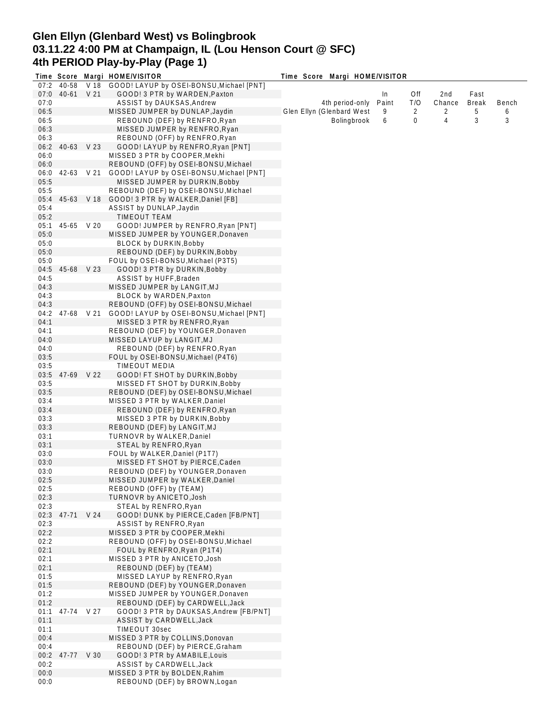## **Glen Ellyn (Glenbard West) vs Bolingbrook 03.11.22 4:00 PM at Champaign, IL (Lou Henson Court @ SFC) 4th PERIOD Play-by-Play (Page 1)**

|              |                 |            | Time Score Margi HOME/VISITOR                                          | Time Score Margi HOME/VISITOR |       |     |        |              |       |
|--------------|-----------------|------------|------------------------------------------------------------------------|-------------------------------|-------|-----|--------|--------------|-------|
|              | 07:2 40-58      |            | V 18 GOOD! LAYUP by OSEI-BONSU, Michael [PNT]                          |                               |       |     |        |              |       |
| 07:0         | 40-61 V 21      |            | GOOD! 3 PTR by WARDEN, Paxton                                          |                               | In    | Off | 2nd    | Fast         |       |
| 07:0         |                 |            | ASSIST by DAUKSAS, Andrew                                              | 4th period-only               | Paint | T/O | Chance | <b>Break</b> | Bench |
| 06:5         |                 |            | MISSED JUMPER by DUNLAP, Jaydin                                        | Glen Ellyn (Glenbard West     | 9     | 2   | 2      | 5            | 6     |
| 06:5         |                 |            | REBOUND (DEF) by RENFRO, Ryan                                          | Bolingbrook                   | 6     | 0   | 4      | 3            | 3     |
| 06:3         |                 |            | MISSED JUMPER by RENFRO, Ryan                                          |                               |       |     |        |              |       |
| 06:3         |                 |            | REBOUND (OFF) by RENFRO, Ryan                                          |                               |       |     |        |              |       |
| 06:2         | 40-63 V 23      |            | GOOD! LAYUP by RENFRO, Ryan [PNT]                                      |                               |       |     |        |              |       |
| 06:0         |                 |            | MISSED 3 PTR by COOPER, Mekhi                                          |                               |       |     |        |              |       |
| 06:0         |                 |            | REBOUND (OFF) by OSEI-BONSU, Michael                                   |                               |       |     |        |              |       |
| 06:0         |                 | 42-63 V 21 | GOOD! LAYUP by OSEI-BONSU, Michael [PNT]                               |                               |       |     |        |              |       |
| 05:5         |                 |            | MISSED JUMPER by DURKIN, Bobby                                         |                               |       |     |        |              |       |
| 05:5         |                 |            | REBOUND (DEF) by OSEI-BONSU, Michael                                   |                               |       |     |        |              |       |
| 05:4         |                 |            | 45-63 V 18 GOOD! 3 PTR by WALKER, Daniel [FB]                          |                               |       |     |        |              |       |
| 05:4         |                 |            | ASSIST by DUNLAP, Jaydin                                               |                               |       |     |        |              |       |
| 05:2         |                 |            | <b>TIMEOUT TEAM</b>                                                    |                               |       |     |        |              |       |
| 05:1         | 45-65 V 20      |            | GOOD! JUMPER by RENFRO, Ryan [PNT]                                     |                               |       |     |        |              |       |
| 05:0         |                 |            | MISSED JUMPER by YOUNGER, Donaven                                      |                               |       |     |        |              |       |
| 05:0         |                 |            | BLOCK by DURKIN, Bobby                                                 |                               |       |     |        |              |       |
| 05:0         |                 |            | REBOUND (DEF) by DURKIN, Bobby                                         |                               |       |     |        |              |       |
| 05:0         |                 |            | FOUL by OSEI-BONSU, Michael (P3T5)                                     |                               |       |     |        |              |       |
| 04:5         | 45-68 V 23      |            | GOOD! 3 PTR by DURKIN, Bobby                                           |                               |       |     |        |              |       |
| 04:5         |                 |            | ASSIST by HUFF, Braden                                                 |                               |       |     |        |              |       |
| 04:3         |                 |            | MISSED JUMPER by LANGIT, MJ                                            |                               |       |     |        |              |       |
| 04:3         |                 |            | BLOCK by WARDEN, Paxton                                                |                               |       |     |        |              |       |
| 04:3         |                 |            | REBOUND (OFF) by OSEI-BONSU, Michael                                   |                               |       |     |        |              |       |
| 04:2         |                 | 47-68 V 21 | GOOD! LAYUP by OSEI-BONSU, Michael [PNT]                               |                               |       |     |        |              |       |
| 04:1         |                 |            | MISSED 3 PTR by RENFRO, Ryan                                           |                               |       |     |        |              |       |
| 04:1         |                 |            | REBOUND (DEF) by YOUNGER, Donaven                                      |                               |       |     |        |              |       |
| 04:0         |                 |            | MISSED LAYUP by LANGIT, MJ                                             |                               |       |     |        |              |       |
| 04:0         |                 |            | REBOUND (DEF) by RENFRO, Ryan                                          |                               |       |     |        |              |       |
| 03:5         |                 |            | FOUL by OSEI-BONSU, Michael (P4T6)                                     |                               |       |     |        |              |       |
| 03:5         |                 |            | TIMEOUT MEDIA                                                          |                               |       |     |        |              |       |
| 03:5         | 47-69 V 22      |            | GOOD! FT SHOT by DURKIN, Bobby                                         |                               |       |     |        |              |       |
| 03:5         |                 |            | MISSED FT SHOT by DURKIN, Bobby                                        |                               |       |     |        |              |       |
| 03:5         |                 |            | REBOUND (DEF) by OSEI-BONSU, Michael                                   |                               |       |     |        |              |       |
| 03:4         |                 |            | MISSED 3 PTR by WALKER, Daniel                                         |                               |       |     |        |              |       |
| 03:4         |                 |            | REBOUND (DEF) by RENFRO, Ryan                                          |                               |       |     |        |              |       |
| 03:3         |                 |            | MISSED 3 PTR by DURKIN, Bobby                                          |                               |       |     |        |              |       |
| 03:3         |                 |            | REBOUND (DEF) by LANGIT, MJ                                            |                               |       |     |        |              |       |
| 03:1         |                 |            | TURNOVR by WALKER, Daniel                                              |                               |       |     |        |              |       |
| 03:1         |                 |            | STEAL by RENFRO, Ryan                                                  |                               |       |     |        |              |       |
| 03:0         |                 |            | FOUL by WALKER, Daniel (P1T7)                                          |                               |       |     |        |              |       |
| 03:0         |                 |            | MISSED FT SHOT by PIERCE, Caden                                        |                               |       |     |        |              |       |
| 03:0         |                 |            | REBOUND (DEF) by YOUNGER, Donaven                                      |                               |       |     |        |              |       |
| 02:5         |                 |            | MISSED JUMPER by WALKER, Daniel                                        |                               |       |     |        |              |       |
| 02:5         |                 |            | REBOUND (OFF) by (TEAM)                                                |                               |       |     |        |              |       |
| 02:3         |                 |            | TURNOVR by ANICETO, Josh                                               |                               |       |     |        |              |       |
| 02:3         |                 |            | STEAL by RENFRO, Ryan                                                  |                               |       |     |        |              |       |
| 02:3         | 47-71 V 24      |            | GOOD! DUNK by PIERCE, Caden [FB/PNT]                                   |                               |       |     |        |              |       |
| 02:3         |                 |            | ASSIST by RENFRO, Ryan                                                 |                               |       |     |        |              |       |
| 02:2         |                 |            | MISSED 3 PTR by COOPER, Mekhi                                          |                               |       |     |        |              |       |
| 02:2         |                 |            | REBOUND (OFF) by OSEI-BONSU, Michael                                   |                               |       |     |        |              |       |
| 02:1         |                 |            | FOUL by RENFRO, Ryan (P1T4)                                            |                               |       |     |        |              |       |
| 02:1         |                 |            | MISSED 3 PTR by ANICETO, Josh                                          |                               |       |     |        |              |       |
| 02:1         |                 |            | REBOUND (DEF) by (TEAM)                                                |                               |       |     |        |              |       |
|              |                 |            |                                                                        |                               |       |     |        |              |       |
| 01:5         |                 |            | MISSED LAYUP by RENFRO, Ryan                                           |                               |       |     |        |              |       |
| 01:5<br>01:2 |                 |            | REBOUND (DEF) by YOUNGER, Donaven<br>MISSED JUMPER by YOUNGER, Donaven |                               |       |     |        |              |       |
|              |                 |            |                                                                        |                               |       |     |        |              |       |
| 01:2         |                 |            | REBOUND (DEF) by CARDWELL, Jack                                        |                               |       |     |        |              |       |
| 01:1         | 47-74 V 27      |            | GOOD! 3 PTR by DAUKSAS, Andrew [FB/PNT]                                |                               |       |     |        |              |       |
| 01:1         |                 |            | ASSIST by CARDWELL, Jack                                               |                               |       |     |        |              |       |
| 01:1         |                 |            | TIMEOUT 30sec                                                          |                               |       |     |        |              |       |
| 00:4         |                 |            | MISSED 3 PTR by COLLINS, Donovan                                       |                               |       |     |        |              |       |
| 00:4         |                 |            | REBOUND (DEF) by PIERCE, Graham                                        |                               |       |     |        |              |       |
|              | 00:2 47-77 V 30 |            | GOOD! 3 PTR by AMABILE, Louis                                          |                               |       |     |        |              |       |
| 00:2         |                 |            | ASSIST by CARDWELL, Jack                                               |                               |       |     |        |              |       |
| 00:0         |                 |            | MISSED 3 PTR by BOLDEN, Rahim                                          |                               |       |     |        |              |       |
| 00:0         |                 |            | REBOUND (DEF) by BROWN, Logan                                          |                               |       |     |        |              |       |